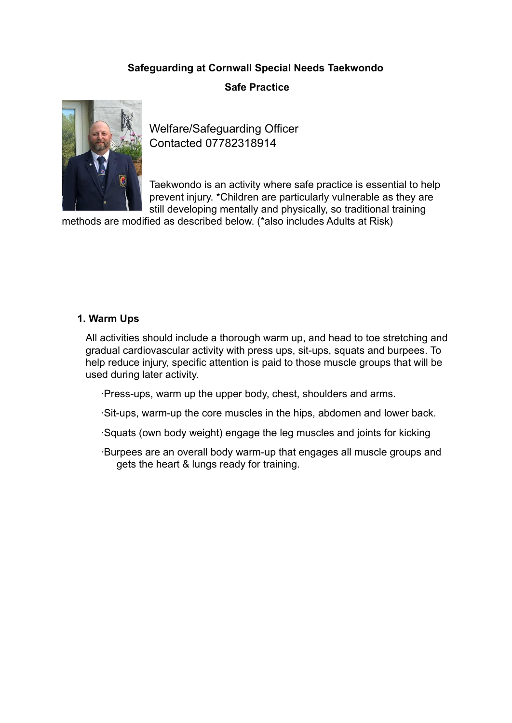## **Safeguarding at Cornwall Special Needs Taekwondo**

## **Safe Practice**



Welfare/Safeguarding Officer Contacted 07782318914

Taekwondo is an activity where safe practice is essential to help prevent injury. \*Children are particularly vulnerable as they are still developing mentally and physically, so traditional training

methods are modified as described below. (\*also includes Adults at Risk)

#### **1. Warm Ups**

All activities should include a thorough warm up, and head to toe stretching and gradual cardiovascular activity with press ups, sit-ups, squats and burpees. To help reduce injury, specific attention is paid to those muscle groups that will be used during later activity.

∙Press-ups, warm up the upper body, chest, shoulders and arms.

∙Sit-ups, warm-up the core muscles in the hips, abdomen and lower back.

∙Squats (own body weight) engage the leg muscles and joints for kicking

∙Burpees are an overall body warm-up that engages all muscle groups and gets the heart & lungs ready for training.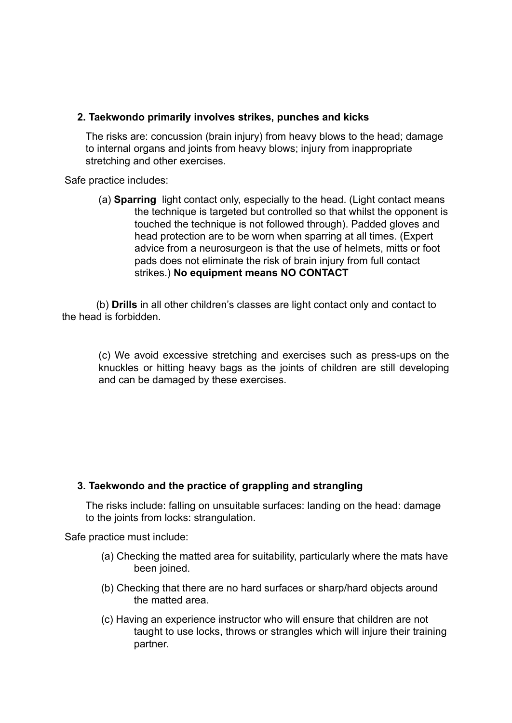#### **2. Taekwondo primarily involves strikes, punches and kicks**

The risks are: concussion (brain injury) from heavy blows to the head; damage to internal organs and joints from heavy blows; injury from inappropriate stretching and other exercises.

Safe practice includes:

(a) **Sparring** light contact only, especially to the head. (Light contact means the technique is targeted but controlled so that whilst the opponent is touched the technique is not followed through). Padded gloves and head protection are to be worn when sparring at all times. (Expert advice from a neurosurgeon is that the use of helmets, mitts or foot pads does not eliminate the risk of brain injury from full contact strikes.) **No equipment means NO CONTACT**

 (b) **Drills** in all other children's classes are light contact only and contact to the head is forbidden.

(c) We avoid excessive stretching and exercises such as press-ups on the knuckles or hitting heavy bags as the joints of children are still developing and can be damaged by these exercises.

#### **3. Taekwondo and the practice of grappling and strangling**

The risks include: falling on unsuitable surfaces: landing on the head: damage to the joints from locks: strangulation.

Safe practice must include:

- (a) Checking the matted area for suitability, particularly where the mats have been joined.
- (b) Checking that there are no hard surfaces or sharp/hard objects around the matted area.
- (c) Having an experience instructor who will ensure that children are not taught to use locks, throws or strangles which will injure their training partner.